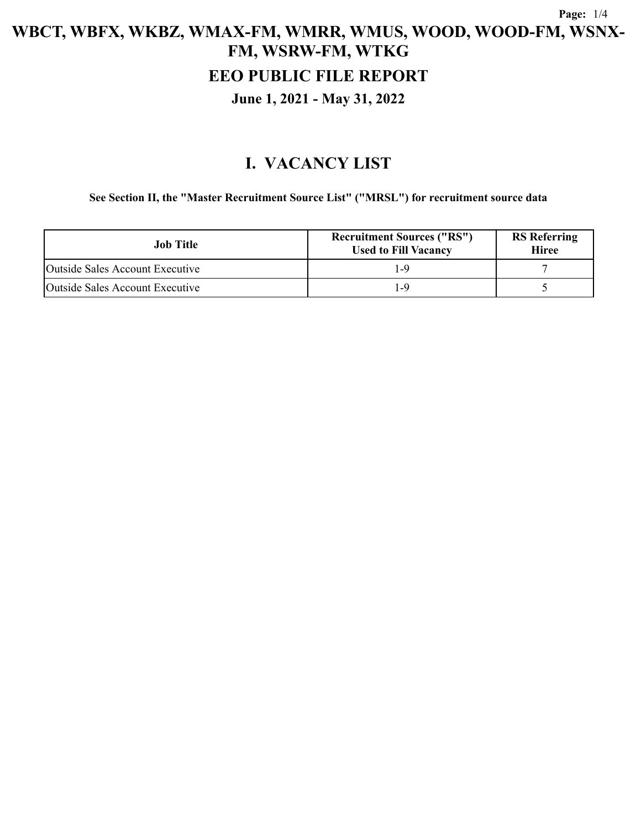#### **EEO PUBLIC FILE REPORT**

#### **June 1, 2021 - May 31, 2022**

## **I. VACANCY LIST**

#### **See Section II, the "Master Recruitment Source List" ("MRSL") for recruitment source data**

| Job Title                       | <b>Recruitment Sources ("RS")</b><br><b>Used to Fill Vacancy</b> | <b>RS</b> Referring<br><b>Hiree</b> |
|---------------------------------|------------------------------------------------------------------|-------------------------------------|
| Outside Sales Account Executive |                                                                  |                                     |
| Outside Sales Account Executive |                                                                  |                                     |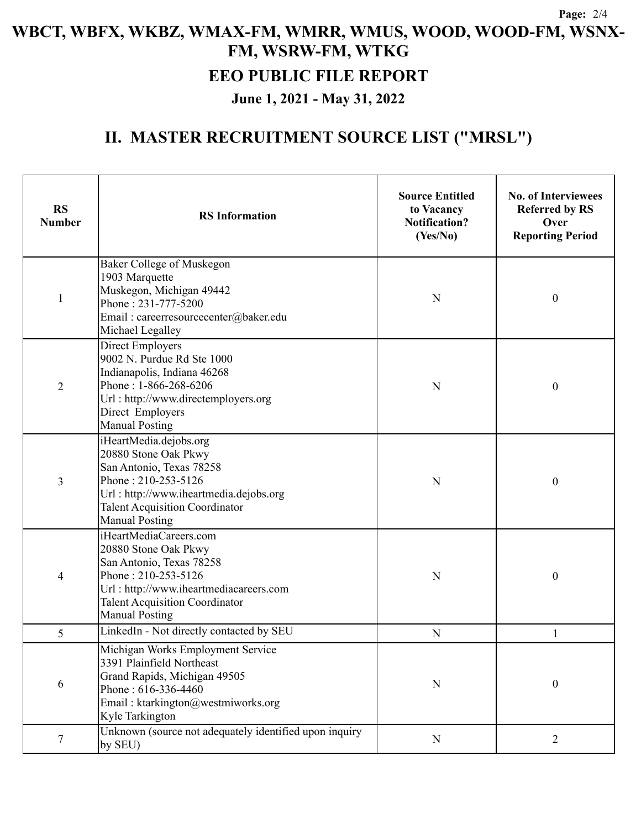## **EEO PUBLIC FILE REPORT**

**June 1, 2021 - May 31, 2022**

# **II. MASTER RECRUITMENT SOURCE LIST ("MRSL")**

| <b>RS</b><br><b>Number</b> | <b>RS</b> Information                                                                                                                                                                                         | <b>Source Entitled</b><br>to Vacancy<br><b>Notification?</b><br>(Yes/No) | <b>No. of Interviewees</b><br><b>Referred by RS</b><br>Over<br><b>Reporting Period</b> |
|----------------------------|---------------------------------------------------------------------------------------------------------------------------------------------------------------------------------------------------------------|--------------------------------------------------------------------------|----------------------------------------------------------------------------------------|
| $\mathbf{1}$               | Baker College of Muskegon<br>1903 Marquette<br>Muskegon, Michigan 49442<br>Phone: 231-777-5200<br>Email: careerresourcecenter@baker.edu<br>Michael Legalley                                                   | N                                                                        | $\mathbf{0}$                                                                           |
| $\overline{2}$             | <b>Direct Employers</b><br>9002 N. Purdue Rd Ste 1000<br>Indianapolis, Indiana 46268<br>Phone: 1-866-268-6206<br>Url: http://www.directemployers.org<br>Direct Employers<br><b>Manual Posting</b>             | N                                                                        | $\boldsymbol{0}$                                                                       |
| 3                          | iHeartMedia.dejobs.org<br>20880 Stone Oak Pkwy<br>San Antonio, Texas 78258<br>Phone: 210-253-5126<br>Url: http://www.iheartmedia.dejobs.org<br><b>Talent Acquisition Coordinator</b><br><b>Manual Posting</b> | N                                                                        | $\boldsymbol{0}$                                                                       |
| 4                          | iHeartMediaCareers.com<br>20880 Stone Oak Pkwy<br>San Antonio, Texas 78258<br>Phone: 210-253-5126<br>Url: http://www.iheartmediacareers.com<br><b>Talent Acquisition Coordinator</b><br><b>Manual Posting</b> | N                                                                        | $\boldsymbol{0}$                                                                       |
| 5                          | LinkedIn - Not directly contacted by SEU                                                                                                                                                                      | $\mathbf N$                                                              | 1                                                                                      |
| 6                          | Michigan Works Employment Service<br>3391 Plainfield Northeast<br>Grand Rapids, Michigan 49505<br>Phone: 616-336-4460<br>Email: ktarkington@westmiworks.org<br>Kyle Tarkington                                | N                                                                        | $\boldsymbol{0}$                                                                       |
| $\tau$                     | Unknown (source not adequately identified upon inquiry<br>by SEU)                                                                                                                                             | $\mathbf N$                                                              | $\overline{2}$                                                                         |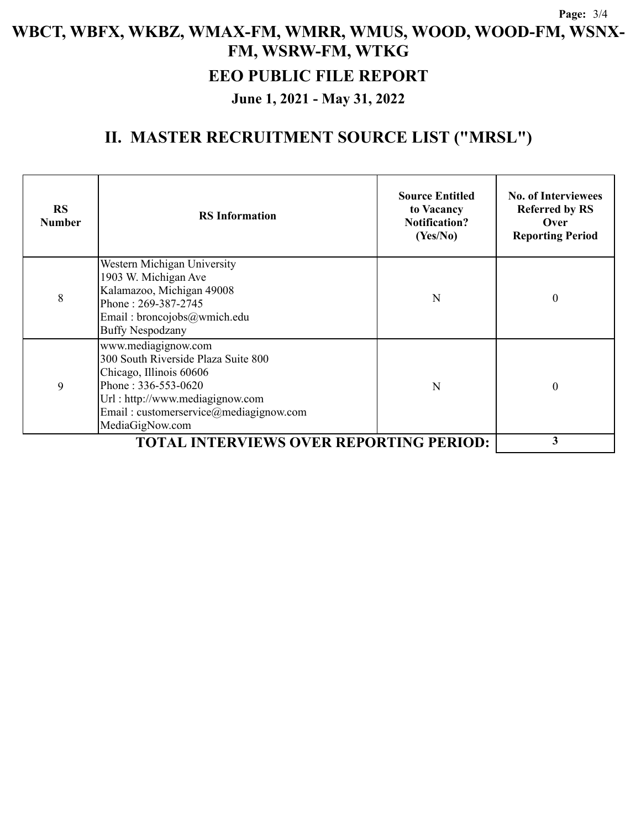### **EEO PUBLIC FILE REPORT**

**June 1, 2021 - May 31, 2022**

# **II. MASTER RECRUITMENT SOURCE LIST ("MRSL")**

| <b>RS</b><br><b>Number</b> | <b>RS</b> Information                                                                                                                                                                                          | <b>Source Entitled</b><br>to Vacancy<br><b>Notification?</b><br>(Yes/No) | <b>No. of Interviewees</b><br><b>Referred by RS</b><br>Over<br><b>Reporting Period</b> |
|----------------------------|----------------------------------------------------------------------------------------------------------------------------------------------------------------------------------------------------------------|--------------------------------------------------------------------------|----------------------------------------------------------------------------------------|
| 8                          | Western Michigan University<br>1903 W. Michigan Ave<br>Kalamazoo, Michigan 49008<br>Phone: 269-387-2745<br>Email: broncojobs@wmich.edu<br><b>Buffy Nespodzany</b>                                              | N                                                                        | $\theta$                                                                               |
| 9                          | www.mediagignow.com<br>300 South Riverside Plaza Suite 800<br>Chicago, Illinois 60606<br>Phone: $336-553-0620$<br>Url: http://www.mediagignow.com<br>Email: customerservice@mediagignow.com<br>MediaGigNow.com | N                                                                        | $\theta$                                                                               |
|                            | 3                                                                                                                                                                                                              |                                                                          |                                                                                        |